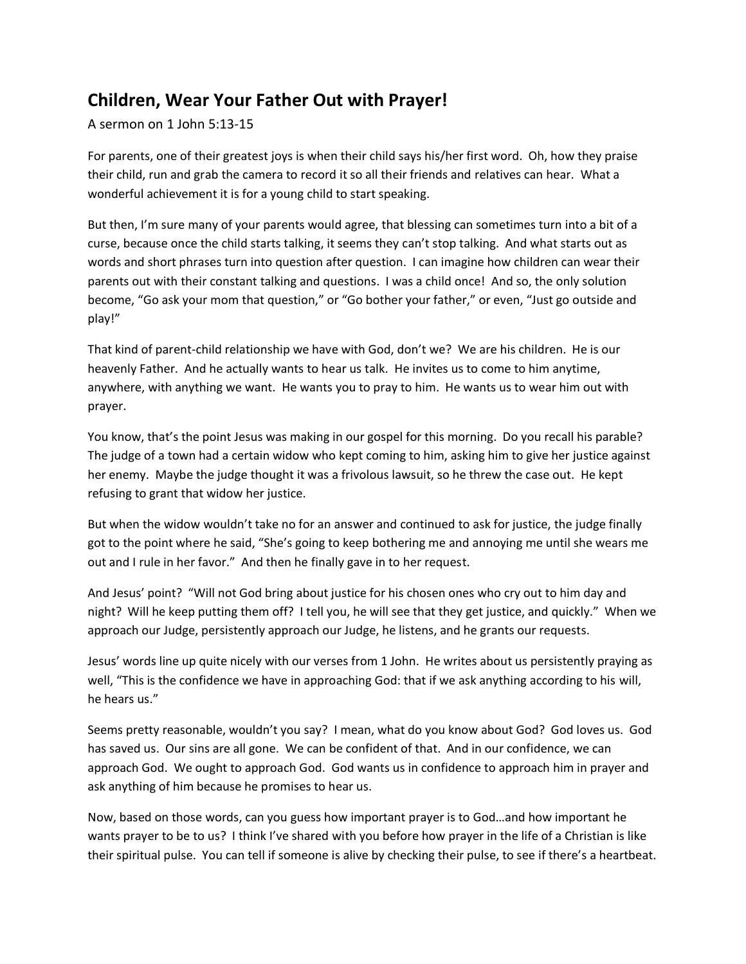## **Children, Wear Your Father Out with Prayer!**

A sermon on 1 John 5:13-15

For parents, one of their greatest joys is when their child says his/her first word. Oh, how they praise their child, run and grab the camera to record it so all their friends and relatives can hear. What a wonderful achievement it is for a young child to start speaking.

But then, I'm sure many of your parents would agree, that blessing can sometimes turn into a bit of a curse, because once the child starts talking, it seems they can't stop talking. And what starts out as words and short phrases turn into question after question. I can imagine how children can wear their parents out with their constant talking and questions. I was a child once! And so, the only solution become, "Go ask your mom that question," or "Go bother your father," or even, "Just go outside and play!"

That kind of parent-child relationship we have with God, don't we? We are his children. He is our heavenly Father. And he actually wants to hear us talk. He invites us to come to him anytime, anywhere, with anything we want. He wants you to pray to him. He wants us to wear him out with prayer.

You know, that's the point Jesus was making in our gospel for this morning. Do you recall his parable? The judge of a town had a certain widow who kept coming to him, asking him to give her justice against her enemy. Maybe the judge thought it was a frivolous lawsuit, so he threw the case out. He kept refusing to grant that widow her justice.

But when the widow wouldn't take no for an answer and continued to ask for justice, the judge finally got to the point where he said, "She's going to keep bothering me and annoying me until she wears me out and I rule in her favor." And then he finally gave in to her request.

And Jesus' point? "Will not God bring about justice for his chosen ones who cry out to him day and night? Will he keep putting them off? I tell you, he will see that they get justice, and quickly." When we approach our Judge, persistently approach our Judge, he listens, and he grants our requests.

Jesus' words line up quite nicely with our verses from 1 John. He writes about us persistently praying as well, "This is the confidence we have in approaching God: that if we ask anything according to his will, he hears us."

Seems pretty reasonable, wouldn't you say? I mean, what do you know about God? God loves us. God has saved us. Our sins are all gone. We can be confident of that. And in our confidence, we can approach God. We ought to approach God. God wants us in confidence to approach him in prayer and ask anything of him because he promises to hear us.

Now, based on those words, can you guess how important prayer is to God…and how important he wants prayer to be to us? I think I've shared with you before how prayer in the life of a Christian is like their spiritual pulse. You can tell if someone is alive by checking their pulse, to see if there's a heartbeat.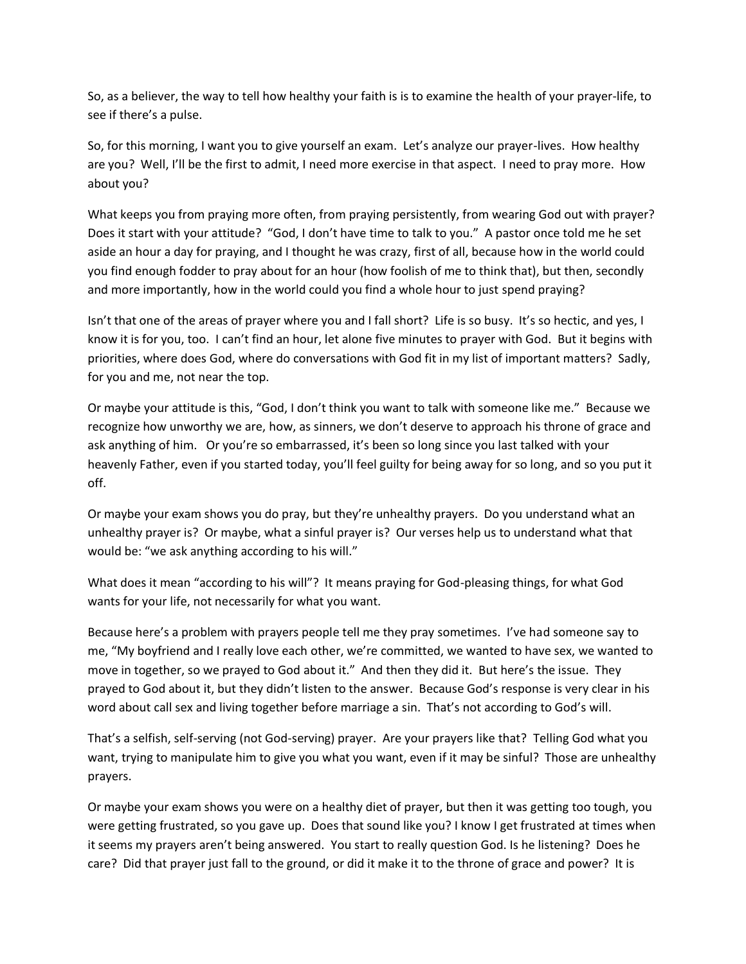So, as a believer, the way to tell how healthy your faith is is to examine the health of your prayer-life, to see if there's a pulse.

So, for this morning, I want you to give yourself an exam. Let's analyze our prayer-lives. How healthy are you? Well, I'll be the first to admit, I need more exercise in that aspect. I need to pray more. How about you?

What keeps you from praying more often, from praying persistently, from wearing God out with prayer? Does it start with your attitude? "God, I don't have time to talk to you." A pastor once told me he set aside an hour a day for praying, and I thought he was crazy, first of all, because how in the world could you find enough fodder to pray about for an hour (how foolish of me to think that), but then, secondly and more importantly, how in the world could you find a whole hour to just spend praying?

Isn't that one of the areas of prayer where you and I fall short? Life is so busy. It's so hectic, and yes, I know it is for you, too. I can't find an hour, let alone five minutes to prayer with God. But it begins with priorities, where does God, where do conversations with God fit in my list of important matters? Sadly, for you and me, not near the top.

Or maybe your attitude is this, "God, I don't think you want to talk with someone like me." Because we recognize how unworthy we are, how, as sinners, we don't deserve to approach his throne of grace and ask anything of him. Or you're so embarrassed, it's been so long since you last talked with your heavenly Father, even if you started today, you'll feel guilty for being away for so long, and so you put it off.

Or maybe your exam shows you do pray, but they're unhealthy prayers. Do you understand what an unhealthy prayer is? Or maybe, what a sinful prayer is? Our verses help us to understand what that would be: "we ask anything according to his will."

What does it mean "according to his will"? It means praying for God-pleasing things, for what God wants for your life, not necessarily for what you want.

Because here's a problem with prayers people tell me they pray sometimes. I've had someone say to me, "My boyfriend and I really love each other, we're committed, we wanted to have sex, we wanted to move in together, so we prayed to God about it." And then they did it. But here's the issue. They prayed to God about it, but they didn't listen to the answer. Because God's response is very clear in his word about call sex and living together before marriage a sin. That's not according to God's will.

That's a selfish, self-serving (not God-serving) prayer. Are your prayers like that? Telling God what you want, trying to manipulate him to give you what you want, even if it may be sinful? Those are unhealthy prayers.

Or maybe your exam shows you were on a healthy diet of prayer, but then it was getting too tough, you were getting frustrated, so you gave up. Does that sound like you? I know I get frustrated at times when it seems my prayers aren't being answered. You start to really question God. Is he listening? Does he care? Did that prayer just fall to the ground, or did it make it to the throne of grace and power? It is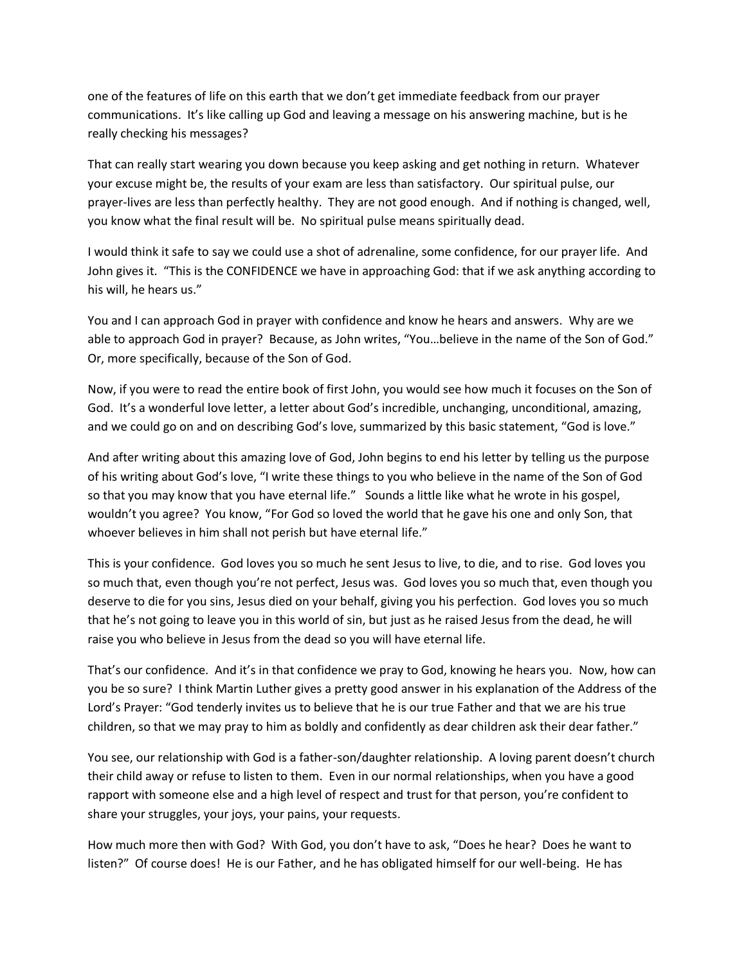one of the features of life on this earth that we don't get immediate feedback from our prayer communications. It's like calling up God and leaving a message on his answering machine, but is he really checking his messages?

That can really start wearing you down because you keep asking and get nothing in return. Whatever your excuse might be, the results of your exam are less than satisfactory. Our spiritual pulse, our prayer-lives are less than perfectly healthy. They are not good enough. And if nothing is changed, well, you know what the final result will be. No spiritual pulse means spiritually dead.

I would think it safe to say we could use a shot of adrenaline, some confidence, for our prayer life. And John gives it. "This is the CONFIDENCE we have in approaching God: that if we ask anything according to his will, he hears us."

You and I can approach God in prayer with confidence and know he hears and answers. Why are we able to approach God in prayer? Because, as John writes, "You…believe in the name of the Son of God." Or, more specifically, because of the Son of God.

Now, if you were to read the entire book of first John, you would see how much it focuses on the Son of God. It's a wonderful love letter, a letter about God's incredible, unchanging, unconditional, amazing, and we could go on and on describing God's love, summarized by this basic statement, "God is love."

And after writing about this amazing love of God, John begins to end his letter by telling us the purpose of his writing about God's love, "I write these things to you who believe in the name of the Son of God so that you may know that you have eternal life." Sounds a little like what he wrote in his gospel, wouldn't you agree? You know, "For God so loved the world that he gave his one and only Son, that whoever believes in him shall not perish but have eternal life."

This is your confidence. God loves you so much he sent Jesus to live, to die, and to rise. God loves you so much that, even though you're not perfect, Jesus was. God loves you so much that, even though you deserve to die for you sins, Jesus died on your behalf, giving you his perfection. God loves you so much that he's not going to leave you in this world of sin, but just as he raised Jesus from the dead, he will raise you who believe in Jesus from the dead so you will have eternal life.

That's our confidence. And it's in that confidence we pray to God, knowing he hears you. Now, how can you be so sure? I think Martin Luther gives a pretty good answer in his explanation of the Address of the Lord's Prayer: "God tenderly invites us to believe that he is our true Father and that we are his true children, so that we may pray to him as boldly and confidently as dear children ask their dear father."

You see, our relationship with God is a father-son/daughter relationship. A loving parent doesn't church their child away or refuse to listen to them. Even in our normal relationships, when you have a good rapport with someone else and a high level of respect and trust for that person, you're confident to share your struggles, your joys, your pains, your requests.

How much more then with God? With God, you don't have to ask, "Does he hear? Does he want to listen?" Of course does! He is our Father, and he has obligated himself for our well-being. He has